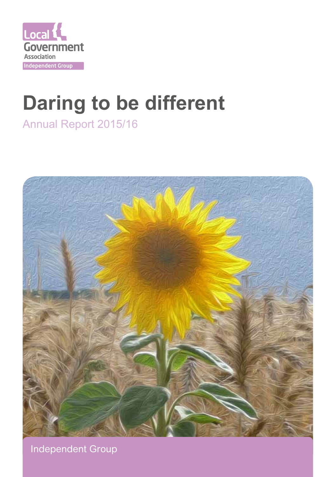

# **Daring to be different**

Annual Report 2015/16



Independent Group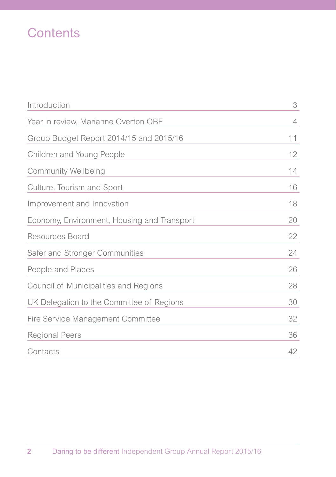# **Contents**

| Introduction                                | 3  |
|---------------------------------------------|----|
| Year in review, Marianne Overton OBE        | 4  |
| Group Budget Report 2014/15 and 2015/16     | 11 |
| Children and Young People                   | 12 |
| <b>Community Wellbeing</b>                  | 14 |
| Culture, Tourism and Sport                  | 16 |
| Improvement and Innovation                  | 18 |
| Economy, Environment, Housing and Transport | 20 |
| Resources Board                             | 22 |
| Safer and Stronger Communities              | 24 |
| People and Places                           | 26 |
| Council of Municipalities and Regions       | 28 |
| UK Delegation to the Committee of Regions   | 30 |
| Fire Service Management Committee           | 32 |
| <b>Regional Peers</b>                       | 36 |
| Contacts                                    | 42 |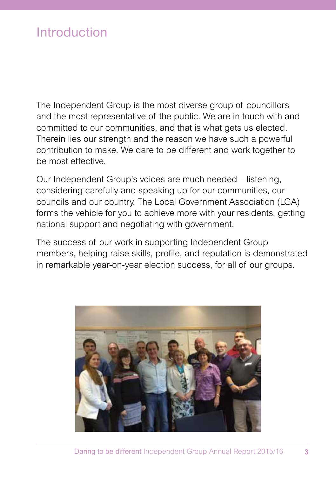### Introduction

The Independent Group is the most diverse group of councillors and the most representative of the public. We are in touch with and committed to our communities, and that is what gets us elected. Therein lies our strength and the reason we have such a powerful contribution to make. We dare to be different and work together to be most effective.

Our Independent Group's voices are much needed – listening, considering carefully and speaking up for our communities, our councils and our country. The Local Government Association (LGA) forms the vehicle for you to achieve more with your residents, getting national support and negotiating with government.

The success of our work in supporting Independent Group members, helping raise skills, profile, and reputation is demonstrated in remarkable year-on-year election success, for all of our groups.

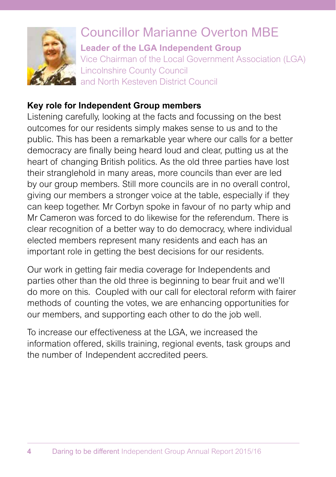

### Councillor Marianne Overton MBE **Leader of the LGA Independent Group** Vice Chairman of the Local Government Association (LGA) Lincolnshire County Council and North Kesteven District Council

### **Key role for Independent Group members**

Listening carefully, looking at the facts and focussing on the best outcomes for our residents simply makes sense to us and to the public. This has been a remarkable year where our calls for a better democracy are finally being heard loud and clear, putting us at the heart of changing British politics. As the old three parties have lost their stranglehold in many areas, more councils than ever are led by our group members. Still more councils are in no overall control, giving our members a stronger voice at the table, especially if they can keep together. Mr Corbyn spoke in favour of no party whip and Mr Cameron was forced to do likewise for the referendum. There is clear recognition of a better way to do democracy, where individual elected members represent many residents and each has an important role in getting the best decisions for our residents.

Our work in getting fair media coverage for Independents and parties other than the old three is beginning to bear fruit and we'll do more on this. Coupled with our call for electoral reform with fairer methods of counting the votes, we are enhancing opportunities for our members, and supporting each other to do the job well.

To increase our effectiveness at the LGA, we increased the information offered, skills training, regional events, task groups and the number of Independent accredited peers.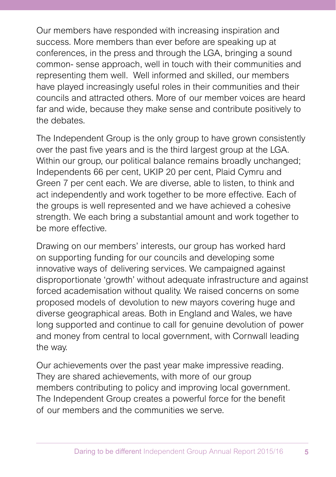Our members have responded with increasing inspiration and success. More members than ever before are speaking up at conferences, in the press and through the LGA, bringing a sound common- sense approach, well in touch with their communities and representing them well. Well informed and skilled, our members have played increasingly useful roles in their communities and their councils and attracted others. More of our member voices are heard far and wide, because they make sense and contribute positively to the debates.

The Independent Group is the only group to have grown consistently over the past five years and is the third largest group at the LGA. Within our group, our political balance remains broadly unchanged; Independents 66 per cent, UKIP 20 per cent, Plaid Cymru and Green 7 per cent each. We are diverse, able to listen, to think and act independently and work together to be more effective. Each of the groups is well represented and we have achieved a cohesive strength. We each bring a substantial amount and work together to be more effective.

Drawing on our members' interests, our group has worked hard on supporting funding for our councils and developing some innovative ways of delivering services. We campaigned against disproportionate 'growth' without adequate infrastructure and against forced academisation without quality. We raised concerns on some proposed models of devolution to new mayors covering huge and diverse geographical areas. Both in England and Wales, we have long supported and continue to call for genuine devolution of power and money from central to local government, with Cornwall leading the way.

Our achievements over the past year make impressive reading. They are shared achievements, with more of our group members contributing to policy and improving local government. The Independent Group creates a powerful force for the benefit of our members and the communities we serve.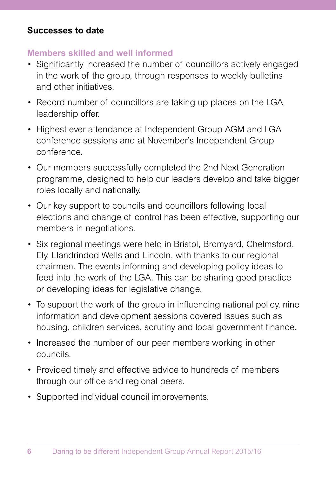#### **Successes to date**

#### **Members skilled and well informed**

- Significantly increased the number of councillors actively engaged in the work of the group, through responses to weekly bulletins and other initiatives.
- Record number of councillors are taking up places on the LGA leadership offer.
- Highest ever attendance at Independent Group AGM and LGA conference sessions and at November's Independent Group conference.
- Our members successfully completed the 2nd Next Generation programme, designed to help our leaders develop and take bigger roles locally and nationally.
- Our key support to councils and councillors following local elections and change of control has been effective, supporting our members in negotiations.
- Six regional meetings were held in Bristol, Bromvard, Chelmsford, Ely, Llandrindod Wells and Lincoln, with thanks to our regional chairmen. The events informing and developing policy ideas to feed into the work of the LGA. This can be sharing good practice or developing ideas for legislative change.
- To support the work of the group in influencing national policy, nine information and development sessions covered issues such as housing, children services, scrutiny and local government finance.
- Increased the number of our peer members working in other councils.
- Provided timely and effective advice to hundreds of members through our office and regional peers.
- Supported individual council improvements.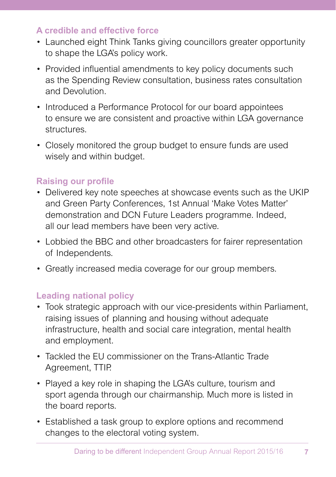### **A credible and effective force**

- Launched eight Think Tanks giving councillors greater opportunity to shape the LGA's policy work.
- Provided influential amendments to key policy documents such as the Spending Review consultation, business rates consultation and Devolution.
- Introduced a Performance Protocol for our board appointees to ensure we are consistent and proactive within LGA governance structures.
- Closely monitored the group budget to ensure funds are used wisely and within budget.

### **Raising our profile**

- Delivered key note speeches at showcase events such as the UKIP and Green Party Conferences, 1st Annual 'Make Votes Matter' demonstration and DCN Future Leaders programme. Indeed, all our lead members have been very active.
- Lobbied the BBC and other broadcasters for fairer representation of Independents.
- Greatly increased media coverage for our group members.

### **Leading national policy**

- Took strategic approach with our vice-presidents within Parliament, raising issues of planning and housing without adequate infrastructure, health and social care integration, mental health and employment.
- Tackled the EU commissioner on the Trans-Atlantic Trade Agreement, TTIP.
- Played a key role in shaping the LGA's culture, tourism and sport agenda through our chairmanship. Much more is listed in the board reports.
- Established a task group to explore options and recommend changes to the electoral voting system.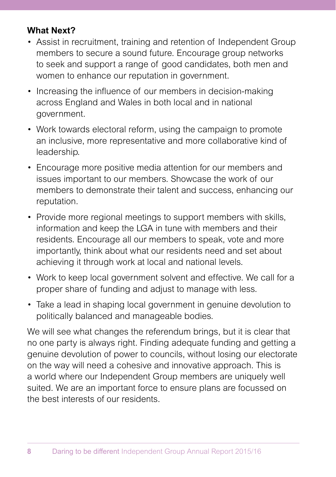### **What Next?**

- Assist in recruitment, training and retention of Independent Group members to secure a sound future. Encourage group networks to seek and support a range of good candidates, both men and women to enhance our reputation in government.
- Increasing the influence of our members in decision-making across England and Wales in both local and in national government.
- Work towards electoral reform, using the campaign to promote an inclusive, more representative and more collaborative kind of leadership.
- Encourage more positive media attention for our members and issues important to our members. Showcase the work of our members to demonstrate their talent and success, enhancing our reputation.
- Provide more regional meetings to support members with skills, information and keep the LGA in tune with members and their residents. Encourage all our members to speak, vote and more importantly, think about what our residents need and set about achieving it through work at local and national levels.
- Work to keep local government solvent and effective. We call for a proper share of funding and adjust to manage with less.
- Take a lead in shaping local government in genuine devolution to politically balanced and manageable bodies.

We will see what changes the referendum brings, but it is clear that no one party is always right. Finding adequate funding and getting a genuine devolution of power to councils, without losing our electorate on the way will need a cohesive and innovative approach. This is a world where our Independent Group members are uniquely well suited. We are an important force to ensure plans are focussed on the best interests of our residents.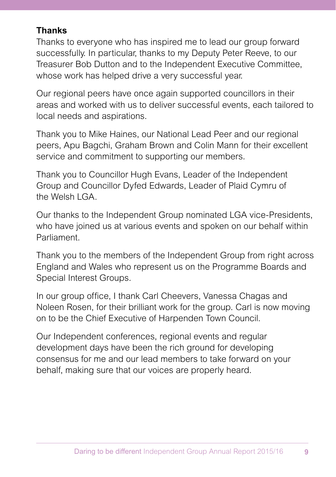### **Thanks**

Thanks to everyone who has inspired me to lead our group forward successfully. In particular, thanks to my Deputy Peter Reeve, to our Treasurer Bob Dutton and to the Independent Executive Committee, whose work has helped drive a very successful year.

Our regional peers have once again supported councillors in their areas and worked with us to deliver successful events, each tailored to local needs and aspirations.

Thank you to Mike Haines, our National Lead Peer and our regional peers, Apu Bagchi, Graham Brown and Colin Mann for their excellent service and commitment to supporting our members.

Thank you to Councillor Hugh Evans, Leader of the Independent Group and Councillor Dyfed Edwards, Leader of Plaid Cymru of the Welsh I GA

Our thanks to the Independent Group nominated LGA vice-Presidents, who have joined us at various events and spoken on our behalf within Parliament.

Thank you to the members of the Independent Group from right across England and Wales who represent us on the Programme Boards and Special Interest Groups.

In our group office, I thank Carl Cheevers, Vanessa Chagas and Noleen Rosen, for their brilliant work for the group. Carl is now moving on to be the Chief Executive of Harpenden Town Council.

Our Independent conferences, regional events and regular development days have been the rich ground for developing consensus for me and our lead members to take forward on your behalf, making sure that our voices are properly heard.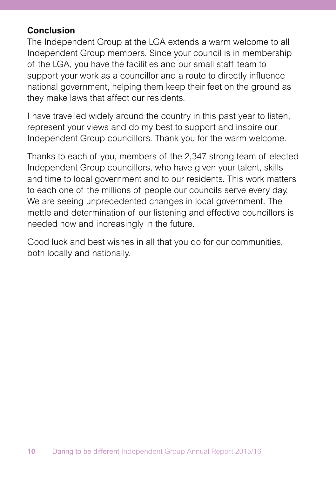### **Conclusion**

The Independent Group at the LGA extends a warm welcome to all Independent Group members. Since your council is in membership of the LGA, you have the facilities and our small staff team to support your work as a councillor and a route to directly influence national government, helping them keep their feet on the ground as they make laws that affect our residents.

I have travelled widely around the country in this past year to listen, represent your views and do my best to support and inspire our Independent Group councillors. Thank you for the warm welcome.

Thanks to each of you, members of the 2,347 strong team of elected Independent Group councillors, who have given your talent, skills and time to local government and to our residents. This work matters to each one of the millions of people our councils serve every day. We are seeing unprecedented changes in local government. The mettle and determination of our listening and effective councillors is needed now and increasingly in the future.

Good luck and best wishes in all that you do for our communities, both locally and nationally.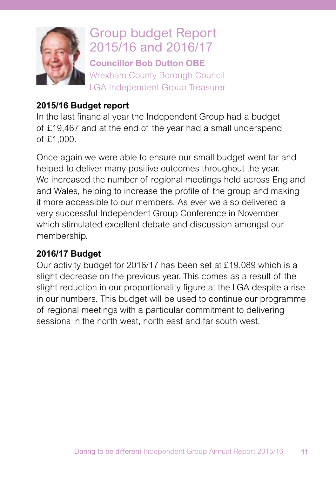

# Group budget Report 2015/16 and 2016/17

**Councillor Bob Dutton OBE** Wrexham County Borough Council LGA Independent Group Treasurer

### **2015/16 Budget report**

In the last financial year the Independent Group had a budget of £19,467 and at the end of the year had a small underspend of £1,000.

Once again we were able to ensure our small budget went far and helped to deliver many positive outcomes throughout the year. We increased the number of regional meetings held across England and Wales, helping to increase the profile of the group and making it more accessible to our members. As ever we also delivered a very successful Independent Group Conference in November which stimulated excellent debate and discussion amongst our membership.

### **2016/17 Budget**

Our activity budget for 2016/17 has been set at £19,089 which is a slight decrease on the previous year. This comes as a result of the slight reduction in our proportionality figure at the LGA despite a rise in our numbers. This budget will be used to continue our programme of regional meetings with a particular commitment to delivering sessions in the north west, north east and far south west.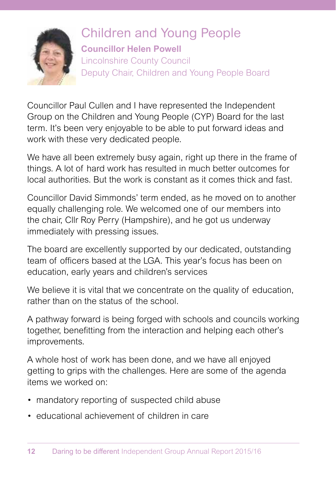

### Children and Young People **Councillor Helen Powell** Lincolnshire County Council Deputy Chair, Children and Young People Board

Councillor Paul Cullen and I have represented the Independent Group on the Children and Young People (CYP) Board for the last term. It's been very enjoyable to be able to put forward ideas and work with these very dedicated people.

We have all been extremely busy again, right up there in the frame of things. A lot of hard work has resulted in much better outcomes for local authorities. But the work is constant as it comes thick and fast.

Councillor David Simmonds' term ended, as he moved on to another equally challenging role. We welcomed one of our members into the chair, Cllr Roy Perry (Hampshire), and he got us underway immediately with pressing issues.

The board are excellently supported by our dedicated, outstanding team of officers based at the LGA. This year's focus has been on education, early years and children's services

We believe it is vital that we concentrate on the quality of education, rather than on the status of the school.

A pathway forward is being forged with schools and councils working together, benefitting from the interaction and helping each other's improvements.

A whole host of work has been done, and we have all enjoyed getting to grips with the challenges. Here are some of the agenda items we worked on:

- mandatory reporting of suspected child abuse
- educational achievement of children in care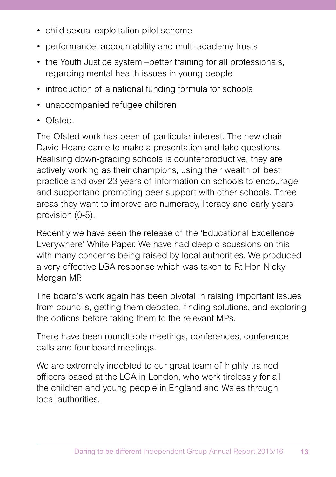- child sexual exploitation pilot scheme
- performance, accountability and multi-academy trusts
- the Youth Justice system better training for all professionals. regarding mental health issues in young people
- introduction of a national funding formula for schools
- unaccompanied refugee children
- Ofsted.

The Ofsted work has been of particular interest. The new chair David Hoare came to make a presentation and take questions. Realising down-grading schools is counterproductive, they are actively working as their champions, using their wealth of best practice and over 23 years of information on schools to encourage and supportand promoting peer support with other schools. Three areas they want to improve are numeracy, literacy and early years provision (0-5).

Recently we have seen the release of the 'Educational Excellence Everywhere' White Paper. We have had deep discussions on this with many concerns being raised by local authorities. We produced a very effective LGA response which was taken to Rt Hon Nicky Morgan MP.

The board's work again has been pivotal in raising important issues from councils, getting them debated, finding solutions, and exploring the options before taking them to the relevant MPs.

There have been roundtable meetings, conferences, conference calls and four board meetings.

We are extremely indebted to our great team of highly trained officers based at the LGA in London, who work tirelessly for all the children and young people in England and Wales through local authorities.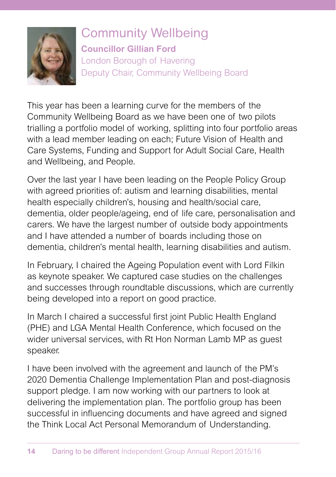

Community Wellbeing **Councillor Gillian Ford** London Borough of Havering Deputy Chair, Community Wellbeing Board

This year has been a learning curve for the members of the Community Wellbeing Board as we have been one of two pilots trialling a portfolio model of working, splitting into four portfolio areas with a lead member leading on each; Future Vision of Health and Care Systems, Funding and Support for Adult Social Care, Health and Wellbeing, and People.

Over the last year I have been leading on the People Policy Group with agreed priorities of: autism and learning disabilities, mental health especially children's, housing and health/social care, dementia, older people/ageing, end of life care, personalisation and carers. We have the largest number of outside body appointments and I have attended a number of boards including those on dementia, children's mental health, learning disabilities and autism.

In February, I chaired the Ageing Population event with Lord Filkin as keynote speaker. We captured case studies on the challenges and successes through roundtable discussions, which are currently being developed into a report on good practice.

In March I chaired a successful first joint Public Health England (PHE) and LGA Mental Health Conference, which focused on the wider universal services, with Rt Hon Norman Lamb MP as guest speaker.

I have been involved with the agreement and launch of the PM's 2020 Dementia Challenge Implementation Plan and post-diagnosis support pledge. I am now working with our partners to look at delivering the implementation plan. The portfolio group has been successful in influencing documents and have agreed and signed the Think Local Act Personal Memorandum of Understanding.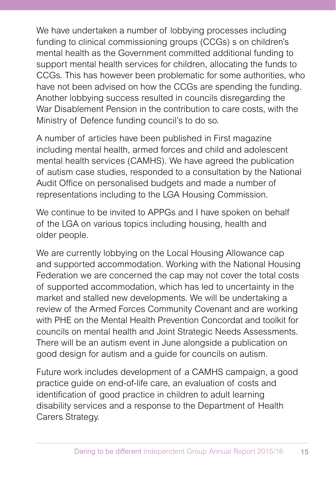We have undertaken a number of lobbying processes including funding to clinical commissioning groups (CCGs) s on children's mental health as the Government committed additional funding to support mental health services for children, allocating the funds to CCGs. This has however been problematic for some authorities, who have not been advised on how the CCGs are spending the funding. Another lobbying success resulted in councils disregarding the War Disablement Pension in the contribution to care costs, with the Ministry of Defence funding council's to do so.

A number of articles have been published in First magazine including mental health, armed forces and child and adolescent mental health services (CAMHS). We have agreed the publication of autism case studies, responded to a consultation by the National Audit Office on personalised budgets and made a number of representations including to the LGA Housing Commission.

We continue to be invited to APPGs and I have spoken on behalf of the LGA on various topics including housing, health and older people.

We are currently lobbying on the Local Housing Allowance cap and supported accommodation. Working with the National Housing Federation we are concerned the cap may not cover the total costs of supported accommodation, which has led to uncertainty in the market and stalled new developments. We will be undertaking a review of the Armed Forces Community Covenant and are working with PHE on the Mental Health Prevention Concordat and toolkit for councils on mental health and Joint Strategic Needs Assessments. There will be an autism event in June alongside a publication on good design for autism and a guide for councils on autism.

Future work includes development of a CAMHS campaign, a good practice guide on end-of-life care, an evaluation of costs and identification of good practice in children to adult learning disability services and a response to the Department of Health Carers Strategy.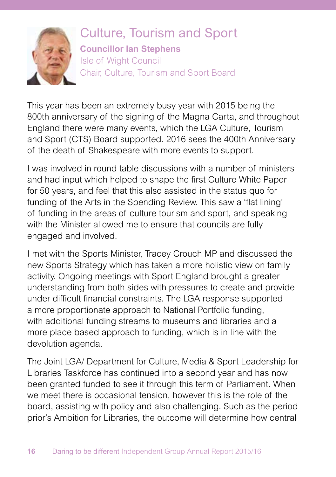

Culture, Tourism and Sport **Councillor Ian Stephens**  Isle of Wight Council Chair, Culture, Tourism and Sport Board

This year has been an extremely busy year with 2015 being the 800th anniversary of the signing of the Magna Carta, and throughout England there were many events, which the LGA Culture, Tourism and Sport (CTS) Board supported. 2016 sees the 400th Anniversary of the death of Shakespeare with more events to support.

I was involved in round table discussions with a number of ministers and had input which helped to shape the first Culture White Paper for 50 years, and feel that this also assisted in the status quo for funding of the Arts in the Spending Review. This saw a 'flat lining' of funding in the areas of culture tourism and sport, and speaking with the Minister allowed me to ensure that councils are fully engaged and involved.

I met with the Sports Minister, Tracey Crouch MP and discussed the new Sports Strategy which has taken a more holistic view on family activity. Ongoing meetings with Sport England brought a greater understanding from both sides with pressures to create and provide under difficult financial constraints. The LGA response supported a more proportionate approach to National Portfolio funding, with additional funding streams to museums and libraries and a more place based approach to funding, which is in line with the devolution agenda.

The Joint LGA/ Department for Culture, Media & Sport Leadership for Libraries Taskforce has continued into a second year and has now been granted funded to see it through this term of Parliament. When we meet there is occasional tension, however this is the role of the board, assisting with policy and also challenging. Such as the period prior's Ambition for Libraries, the outcome will determine how central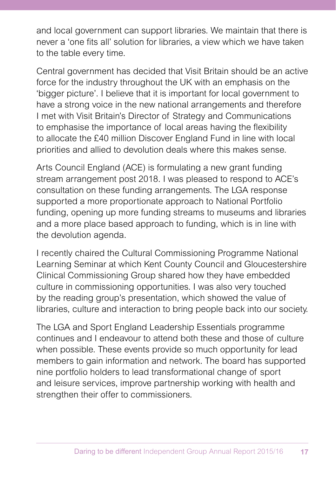and local government can support libraries. We maintain that there is never a 'one fits all' solution for libraries, a view which we have taken to the table every time.

Central government has decided that Visit Britain should be an active force for the industry throughout the UK with an emphasis on the 'bigger picture'. I believe that it is important for local government to have a strong voice in the new national arrangements and therefore I met with Visit Britain's Director of Strategy and Communications to emphasise the importance of local areas having the flexibility to allocate the £40 million Discover England Fund in line with local priorities and allied to devolution deals where this makes sense.

Arts Council England (ACE) is formulating a new grant funding stream arrangement post 2018. I was pleased to respond to ACE's consultation on these funding arrangements. The LGA response supported a more proportionate approach to National Portfolio funding, opening up more funding streams to museums and libraries and a more place based approach to funding, which is in line with the devolution agenda.

I recently chaired the Cultural Commissioning Programme National Learning Seminar at which Kent County Council and Gloucestershire Clinical Commissioning Group shared how they have embedded culture in commissioning opportunities. I was also very touched by the reading group's presentation, which showed the value of libraries, culture and interaction to bring people back into our society.

The LGA and Sport England Leadership Essentials programme continues and I endeavour to attend both these and those of culture when possible. These events provide so much opportunity for lead members to gain information and network. The board has supported nine portfolio holders to lead transformational change of sport and leisure services, improve partnership working with health and strengthen their offer to commissioners.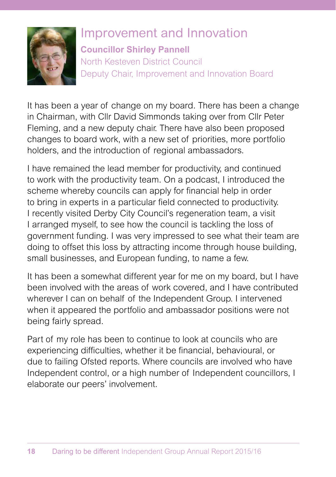

## Improvement and Innovation

**Councillor Shirley Pannell**

North Kesteven District Council Deputy Chair, Improvement and Innovation Board

It has been a year of change on my board. There has been a change in Chairman, with Cllr David Simmonds taking over from Cllr Peter Fleming, and a new deputy chair. There have also been proposed changes to board work, with a new set of priorities, more portfolio holders, and the introduction of regional ambassadors.

I have remained the lead member for productivity, and continued to work with the productivity team. On a podcast, I introduced the scheme whereby councils can apply for financial help in order to bring in experts in a particular field connected to productivity. I recently visited Derby City Council's regeneration team, a visit I arranged myself, to see how the council is tackling the loss of government funding. I was very impressed to see what their team are doing to offset this loss by attracting income through house building, small businesses, and European funding, to name a few.

It has been a somewhat different year for me on my board, but I have been involved with the areas of work covered, and I have contributed wherever I can on behalf of the Independent Group. I intervened when it appeared the portfolio and ambassador positions were not being fairly spread.

Part of my role has been to continue to look at councils who are experiencing difficulties, whether it be financial, behavioural, or due to failing Ofsted reports. Where councils are involved who have Independent control, or a high number of Independent councillors, I elaborate our peers' involvement.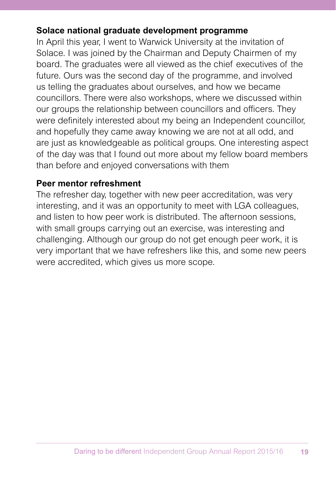#### **Solace national graduate development programme**

In April this year, I went to Warwick University at the invitation of Solace. I was joined by the Chairman and Deputy Chairmen of my board. The graduates were all viewed as the chief executives of the future. Ours was the second day of the programme, and involved us telling the graduates about ourselves, and how we became councillors. There were also workshops, where we discussed within our groups the relationship between councillors and officers. They were definitely interested about my being an Independent councillor, and hopefully they came away knowing we are not at all odd, and are just as knowledgeable as political groups. One interesting aspect of the day was that I found out more about my fellow board members than before and enjoyed conversations with them

#### **Peer mentor refreshment**

The refresher day, together with new peer accreditation, was very interesting, and it was an opportunity to meet with LGA colleagues, and listen to how peer work is distributed. The afternoon sessions, with small groups carrying out an exercise, was interesting and challenging. Although our group do not get enough peer work, it is very important that we have refreshers like this, and some new peers were accredited, which gives us more scope.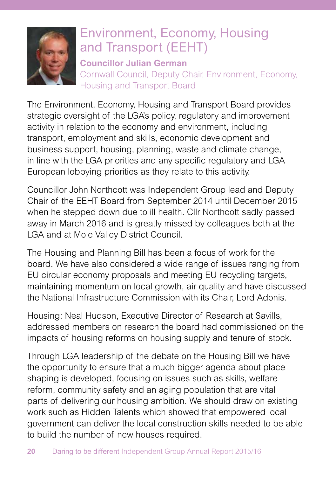

# Environment, Economy, Housing and Transport (EEHT)

**Councillor Julian German** Cornwall Council, Deputy Chair, Environment, Economy, Housing and Transport Board

The Environment, Economy, Housing and Transport Board provides strategic oversight of the LGA's policy, regulatory and improvement activity in relation to the economy and environment, including transport, employment and skills, economic development and business support, housing, planning, waste and climate change, in line with the LGA priorities and any specific regulatory and LGA European lobbying priorities as they relate to this activity.

Councillor John Northcott was Independent Group lead and Deputy Chair of the EEHT Board from September 2014 until December 2015 when he stepped down due to ill health. Cllr Northcott sadly passed away in March 2016 and is greatly missed by colleagues both at the LGA and at Mole Valley District Council.

The Housing and Planning Bill has been a focus of work for the board. We have also considered a wide range of issues ranging from EU circular economy proposals and meeting EU recycling targets, maintaining momentum on local growth, air quality and have discussed the National Infrastructure Commission with its Chair, Lord Adonis.

Housing: Neal Hudson, Executive Director of Research at Savills, addressed members on research the board had commissioned on the impacts of housing reforms on housing supply and tenure of stock.

Through LGA leadership of the debate on the Housing Bill we have the opportunity to ensure that a much bigger agenda about place shaping is developed, focusing on issues such as skills, welfare reform, community safety and an aging population that are vital parts of delivering our housing ambition. We should draw on existing work such as Hidden Talents which showed that empowered local government can deliver the local construction skills needed to be able to build the number of new houses required.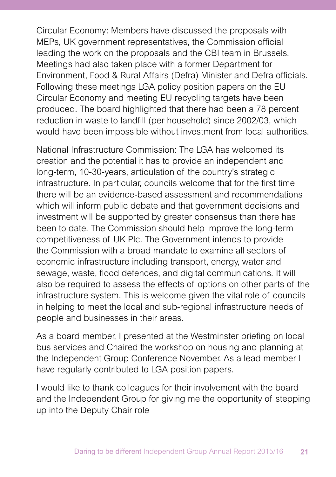Circular Economy: Members have discussed the proposals with MEPs, UK government representatives, the Commission official leading the work on the proposals and the CBI team in Brussels. Meetings had also taken place with a former Department for Environment, Food & Rural Affairs (Defra) Minister and Defra officials. Following these meetings LGA policy position papers on the EU Circular Economy and meeting EU recycling targets have been produced. The board highlighted that there had been a 78 percent reduction in waste to landfill (per household) since 2002/03, which would have been impossible without investment from local authorities.

National Infrastructure Commission: The LGA has welcomed its creation and the potential it has to provide an independent and long-term, 10-30-years, articulation of the country's strategic infrastructure. In particular, councils welcome that for the first time there will be an evidence-based assessment and recommendations which will inform public debate and that government decisions and investment will be supported by greater consensus than there has been to date. The Commission should help improve the long-term competitiveness of UK Plc. The Government intends to provide the Commission with a broad mandate to examine all sectors of economic infrastructure including transport, energy, water and sewage, waste, flood defences, and digital communications. It will also be required to assess the effects of options on other parts of the infrastructure system. This is welcome given the vital role of councils in helping to meet the local and sub-regional infrastructure needs of people and businesses in their areas.

As a board member, I presented at the Westminster briefing on local bus services and Chaired the workshop on housing and planning at the Independent Group Conference November. As a lead member I have regularly contributed to LGA position papers.

I would like to thank colleagues for their involvement with the board and the Independent Group for giving me the opportunity of stepping up into the Deputy Chair role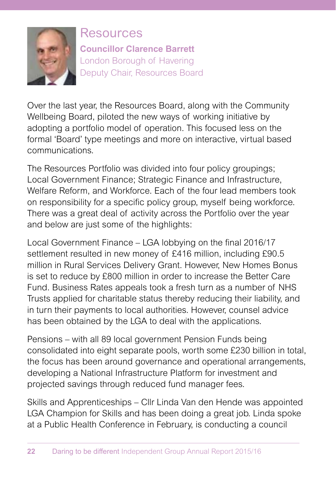

Resources **Councillor Clarence Barrett** London Borough of Havering Deputy Chair, Resources Board

Over the last year, the Resources Board, along with the Community Wellbeing Board, piloted the new ways of working initiative by adopting a portfolio model of operation. This focused less on the formal 'Board' type meetings and more on interactive, virtual based communications.

The Resources Portfolio was divided into four policy groupings; Local Government Finance; Strategic Finance and Infrastructure, Welfare Reform, and Workforce. Each of the four lead members took on responsibility for a specific policy group, myself being workforce. There was a great deal of activity across the Portfolio over the year and below are just some of the highlights:

Local Government Finance – LGA lobbying on the final 2016/17 settlement resulted in new money of £416 million, including £90.5 million in Rural Services Delivery Grant. However, New Homes Bonus is set to reduce by £800 million in order to increase the Better Care Fund. Business Rates appeals took a fresh turn as a number of NHS Trusts applied for charitable status thereby reducing their liability, and in turn their payments to local authorities. However, counsel advice has been obtained by the LGA to deal with the applications.

Pensions – with all 89 local government Pension Funds being consolidated into eight separate pools, worth some £230 billion in total, the focus has been around governance and operational arrangements, developing a National Infrastructure Platform for investment and projected savings through reduced fund manager fees.

Skills and Apprenticeships – Cllr Linda Van den Hende was appointed LGA Champion for Skills and has been doing a great job. Linda spoke at a Public Health Conference in February, is conducting a council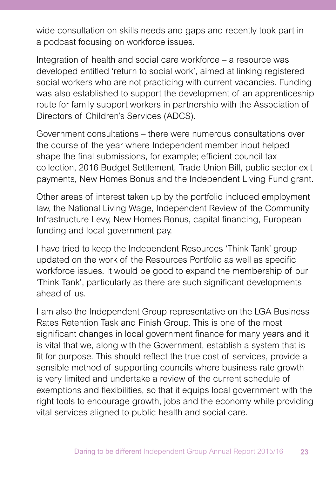wide consultation on skills needs and gaps and recently took part in a podcast focusing on workforce issues.

Integration of health and social care workforce – a resource was developed entitled 'return to social work', aimed at linking registered social workers who are not practicing with current vacancies. Funding was also established to support the development of an apprenticeship route for family support workers in partnership with the Association of Directors of Children's Services (ADCS).

Government consultations – there were numerous consultations over the course of the year where Independent member input helped shape the final submissions, for example; efficient council tax collection, 2016 Budget Settlement, Trade Union Bill, public sector exit payments, New Homes Bonus and the Independent Living Fund grant.

Other areas of interest taken up by the portfolio included employment law, the National Living Wage, Independent Review of the Community Infrastructure Levy, New Homes Bonus, capital financing, European funding and local government pay.

I have tried to keep the Independent Resources 'Think Tank' group updated on the work of the Resources Portfolio as well as specific workforce issues. It would be good to expand the membership of our 'Think Tank', particularly as there are such significant developments ahead of us.

I am also the Independent Group representative on the LGA Business Rates Retention Task and Finish Group. This is one of the most significant changes in local government finance for many years and it is vital that we, along with the Government, establish a system that is fit for purpose. This should reflect the true cost of services, provide a sensible method of supporting councils where business rate growth is very limited and undertake a review of the current schedule of exemptions and flexibilities, so that it equips local government with the right tools to encourage growth, jobs and the economy while providing vital services aligned to public health and social care.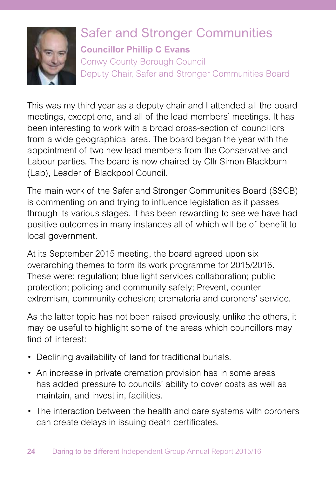

# Safer and Stronger Communities

**Councillor Phillip C Evans**

Conwy County Borough Council Deputy Chair, Safer and Stronger Communities Board

This was my third year as a deputy chair and I attended all the board meetings, except one, and all of the lead members' meetings. It has been interesting to work with a broad cross-section of councillors from a wide geographical area. The board began the year with the appointment of two new lead members from the Conservative and Labour parties. The board is now chaired by Cllr Simon Blackburn (Lab), Leader of Blackpool Council.

The main work of the Safer and Stronger Communities Board (SSCB) is commenting on and trying to influence legislation as it passes through its various stages. It has been rewarding to see we have had positive outcomes in many instances all of which will be of benefit to local government.

At its September 2015 meeting, the board agreed upon six overarching themes to form its work programme for 2015/2016. These were: regulation; blue light services collaboration; public protection; policing and community safety; Prevent, counter extremism, community cohesion; crematoria and coroners' service.

As the latter topic has not been raised previously, unlike the others, it may be useful to highlight some of the areas which councillors may find of interest:

- Declining availability of land for traditional burials.
- An increase in private cremation provision has in some areas has added pressure to councils' ability to cover costs as well as maintain, and invest in, facilities.
- The interaction between the health and care systems with coroners can create delays in issuing death certificates.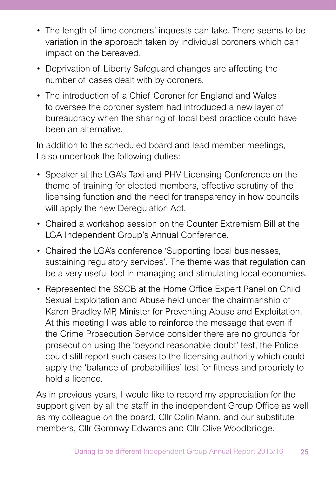- The length of time coroners' inquests can take. There seems to be variation in the approach taken by individual coroners which can impact on the bereaved.
- Deprivation of Liberty Safeguard changes are affecting the number of cases dealt with by coroners.
- The introduction of a Chief Coroner for England and Wales to oversee the coroner system had introduced a new layer of bureaucracy when the sharing of local best practice could have been an alternative.

In addition to the scheduled board and lead member meetings, I also undertook the following duties:

- Speaker at the LGA's Taxi and PHV Licensing Conference on the theme of training for elected members, effective scrutiny of the licensing function and the need for transparency in how councils will apply the new Deregulation Act.
- Chaired a workshop session on the Counter Extremism Bill at the LGA Independent Group's Annual Conference.
- Chaired the LGA's conference 'Supporting local businesses, sustaining regulatory services'. The theme was that regulation can be a very useful tool in managing and stimulating local economies.
- Represented the SSCB at the Home Office Expert Panel on Child Sexual Exploitation and Abuse held under the chairmanship of Karen Bradley MP, Minister for Preventing Abuse and Exploitation. At this meeting I was able to reinforce the message that even if the Crime Prosecution Service consider there are no grounds for prosecution using the 'beyond reasonable doubt' test, the Police could still report such cases to the licensing authority which could apply the 'balance of probabilities' test for fitness and propriety to hold a licence.

As in previous years, I would like to record my appreciation for the support given by all the staff in the independent Group Office as well as my colleague on the board, Cllr Colin Mann, and our substitute members, Cllr Goronwy Edwards and Cllr Clive Woodbridge.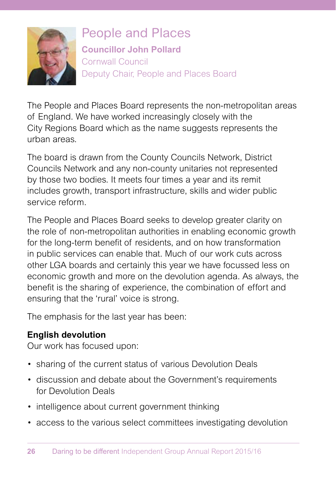

People and Places **Councillor John Pollard**  Cornwall Council Deputy Chair, People and Places Board

The People and Places Board represents the non-metropolitan areas of England. We have worked increasingly closely with the City Regions Board which as the name suggests represents the urban areas.

The board is drawn from the County Councils Network, District Councils Network and any non-county unitaries not represented by those two bodies. It meets four times a year and its remit includes growth, transport infrastructure, skills and wider public service reform.

The People and Places Board seeks to develop greater clarity on the role of non-metropolitan authorities in enabling economic growth for the long-term benefit of residents, and on how transformation in public services can enable that. Much of our work cuts across other LGA boards and certainly this year we have focussed less on economic growth and more on the devolution agenda. As always, the benefit is the sharing of experience, the combination of effort and ensuring that the 'rural' voice is strong.

The emphasis for the last year has been:

### **English devolution**

Our work has focused upon:

- sharing of the current status of various Devolution Deals
- discussion and debate about the Government's requirements for Devolution Deals
- intelligence about current government thinking
- access to the various select committees investigating devolution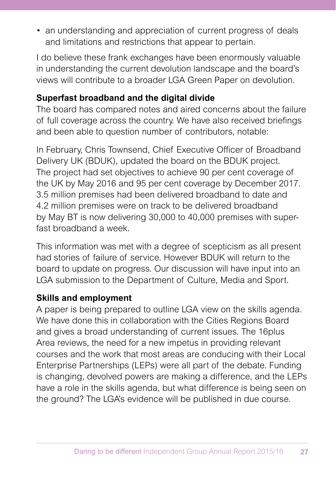• an understanding and appreciation of current progress of deals and limitations and restrictions that appear to pertain.

I do believe these frank exchanges have been enormously valuable in understanding the current devolution landscape and the board's views will contribute to a broader LGA Green Paper on devolution.

### **Superfast broadband and the digital divide**

The board has compared notes and aired concerns about the failure of full coverage across the country. We have also received briefings and been able to question number of contributors, notable:

In February, Chris Townsend, Chief Executive Officer of Broadband Delivery UK (BDUK), updated the board on the BDUK project. The project had set objectives to achieve 90 per cent coverage of the UK by May 2016 and 95 per cent coverage by December 2017. 3.5 million premises had been delivered broadband to date and 4.2 million premises were on track to be delivered broadband by May BT is now delivering 30,000 to 40,000 premises with superfast broadband a week

This information was met with a degree of scepticism as all present had stories of failure of service. However BDUK will return to the board to update on progress. Our discussion will have input into an LGA submission to the Department of Culture, Media and Sport.

### **Skills and employment**

A paper is being prepared to outline LGA view on the skills agenda. We have done this in collaboration with the Cities Regions Board and gives a broad understanding of current issues. The 16plus Area reviews, the need for a new impetus in providing relevant courses and the work that most areas are conducing with their Local Enterprise Partnerships (LEPs) were all part of the debate. Funding is changing, devolved powers are making a difference, and the LEPs have a role in the skills agenda, but what difference is being seen on the ground? The LGA's evidence will be published in due course.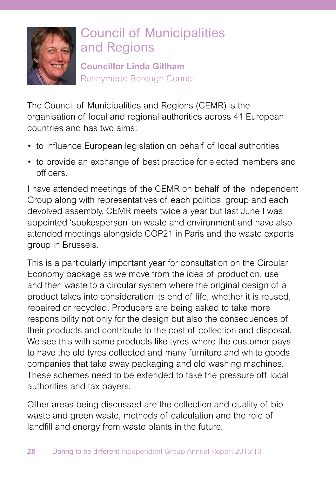

# Council of Municipalities and Regions

**Councillor Linda Gillham** Runnymede Borough Council

The Council of Municipalities and Regions (CEMR) is the organisation of local and regional authorities across 41 European countries and has two aims:

- to influence European legislation on behalf of local authorities
- to provide an exchange of best practice for elected members and officers.

I have attended meetings of the CEMR on behalf of the Independent Group along with representatives of each political group and each devolved assembly. CEMR meets twice a year but last June I was appointed 'spokesperson' on waste and environment and have also attended meetings alongside COP21 in Paris and the waste experts group in Brussels.

This is a particularly important year for consultation on the Circular Economy package as we move from the idea of production, use and then waste to a circular system where the original design of a product takes into consideration its end of life, whether it is reused, repaired or recycled. Producers are being asked to take more responsibility not only for the design but also the consequences of their products and contribute to the cost of collection and disposal. We see this with some products like tyres where the customer pays to have the old tyres collected and many furniture and white goods companies that take away packaging and old washing machines. These schemes need to be extended to take the pressure off local authorities and tax payers.

Other areas being discussed are the collection and quality of bio waste and green waste, methods of calculation and the role of landfill and energy from waste plants in the future.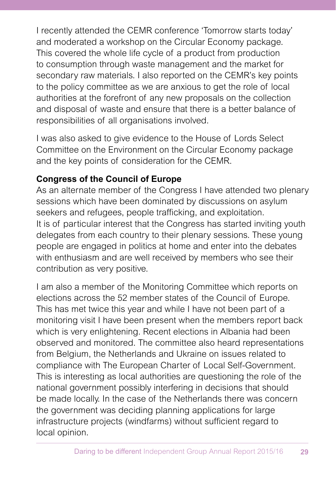I recently attended the CEMR conference 'Tomorrow starts today' and moderated a workshop on the Circular Economy package. This covered the whole life cycle of a product from production to consumption through waste management and the market for secondary raw materials. I also reported on the CEMR's key points to the policy committee as we are anxious to get the role of local authorities at the forefront of any new proposals on the collection and disposal of waste and ensure that there is a better balance of responsibilities of all organisations involved.

I was also asked to give evidence to the House of Lords Select Committee on the Environment on the Circular Economy package and the key points of consideration for the CEMR.

### **Congress of the Council of Europe**

As an alternate member of the Congress I have attended two plenary sessions which have been dominated by discussions on asylum seekers and refugees, people trafficking, and exploitation. It is of particular interest that the Congress has started inviting youth delegates from each country to their plenary sessions. These young people are engaged in politics at home and enter into the debates with enthusiasm and are well received by members who see their contribution as very positive.

I am also a member of the Monitoring Committee which reports on elections across the 52 member states of the Council of Europe. This has met twice this year and while I have not been part of a monitoring visit I have been present when the members report back which is very enlightening. Recent elections in Albania had been observed and monitored. The committee also heard representations from Belgium, the Netherlands and Ukraine on issues related to compliance with The European Charter of Local Self-Government. This is interesting as local authorities are questioning the role of the national government possibly interfering in decisions that should be made locally. In the case of the Netherlands there was concern the government was deciding planning applications for large infrastructure projects (windfarms) without sufficient regard to local opinion.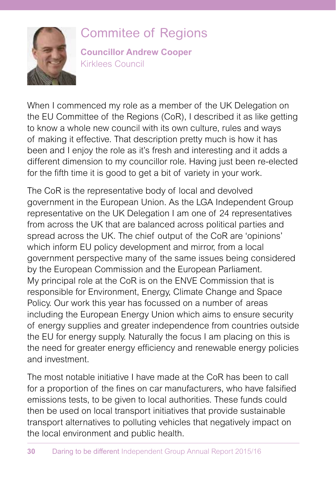

# Commitee of Regions

**Councillor Andrew Cooper** Kirklees Council

When I commenced my role as a member of the UK Delegation on the EU Committee of the Regions (CoR), I described it as like getting to know a whole new council with its own culture, rules and ways of making it effective. That description pretty much is how it has been and I enjoy the role as it's fresh and interesting and it adds a different dimension to my councillor role. Having just been re-elected for the fifth time it is good to get a bit of variety in your work.

The CoR is the representative body of local and devolved government in the European Union. As the LGA Independent Group representative on the UK Delegation I am one of 24 representatives from across the UK that are balanced across political parties and spread across the UK. The chief output of the CoR are 'opinions' which inform EU policy development and mirror, from a local government perspective many of the same issues being considered by the European Commission and the European Parliament. My principal role at the CoR is on the ENVE Commission that is responsible for Environment, Energy, Climate Change and Space Policy. Our work this year has focussed on a number of areas including the European Energy Union which aims to ensure security of energy supplies and greater independence from countries outside the EU for energy supply. Naturally the focus I am placing on this is the need for greater energy efficiency and renewable energy policies and investment.

The most notable initiative I have made at the CoR has been to call for a proportion of the fines on car manufacturers, who have falsified emissions tests, to be given to local authorities. These funds could then be used on local transport initiatives that provide sustainable transport alternatives to polluting vehicles that negatively impact on the local environment and public health.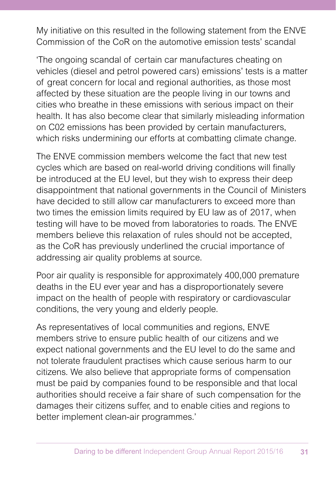My initiative on this resulted in the following statement from the ENVE Commission of the CoR on the automotive emission tests' scandal

'The ongoing scandal of certain car manufactures cheating on vehicles (diesel and petrol powered cars) emissions' tests is a matter of great concern for local and regional authorities, as those most affected by these situation are the people living in our towns and cities who breathe in these emissions with serious impact on their health. It has also become clear that similarly misleading information on C02 emissions has been provided by certain manufacturers, which risks undermining our efforts at combatting climate change.

The ENVE commission members welcome the fact that new test cycles which are based on real-world driving conditions will finally be introduced at the EU level, but they wish to express their deep disappointment that national governments in the Council of Ministers have decided to still allow car manufacturers to exceed more than two times the emission limits required by EU law as of 2017, when testing will have to be moved from laboratories to roads. The ENVE members believe this relaxation of rules should not be accepted, as the CoR has previously underlined the crucial importance of addressing air quality problems at source.

Poor air quality is responsible for approximately 400,000 premature deaths in the EU ever year and has a disproportionately severe impact on the health of people with respiratory or cardiovascular conditions, the very young and elderly people.

As representatives of local communities and regions, ENVE members strive to ensure public health of our citizens and we expect national governments and the EU level to do the same and not tolerate fraudulent practises which cause serious harm to our citizens. We also believe that appropriate forms of compensation must be paid by companies found to be responsible and that local authorities should receive a fair share of such compensation for the damages their citizens suffer, and to enable cities and regions to better implement clean-air programmes.'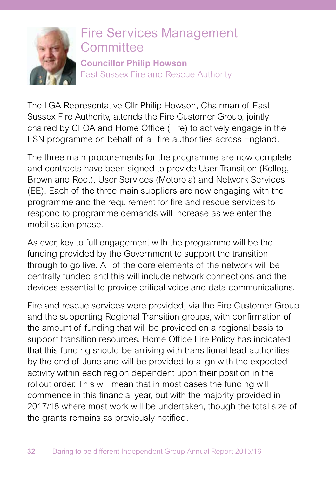

### Fire Services Management **Committee Councillor Philip Howson** East Sussex Fire and Rescue Authority

The LGA Representative Cllr Philip Howson, Chairman of East Sussex Fire Authority, attends the Fire Customer Group, jointly chaired by CFOA and Home Office (Fire) to actively engage in the ESN programme on behalf of all fire authorities across England.

The three main procurements for the programme are now complete and contracts have been signed to provide User Transition (Kellog, Brown and Root), User Services (Motorola) and Network Services (EE). Each of the three main suppliers are now engaging with the programme and the requirement for fire and rescue services to respond to programme demands will increase as we enter the mobilisation phase.

As ever, key to full engagement with the programme will be the funding provided by the Government to support the transition through to go live. All of the core elements of the network will be centrally funded and this will include network connections and the devices essential to provide critical voice and data communications.

Fire and rescue services were provided, via the Fire Customer Group and the supporting Regional Transition groups, with confirmation of the amount of funding that will be provided on a regional basis to support transition resources. Home Office Fire Policy has indicated that this funding should be arriving with transitional lead authorities by the end of June and will be provided to align with the expected activity within each region dependent upon their position in the rollout order. This will mean that in most cases the funding will commence in this financial year, but with the majority provided in 2017/18 where most work will be undertaken, though the total size of the grants remains as previously notified.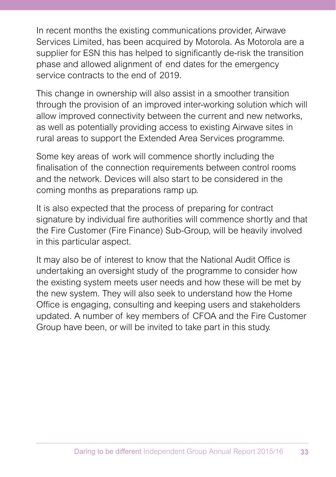In recent months the existing communications provider, Airwave Services Limited, has been acquired by Motorola. As Motorola are a supplier for ESN this has helped to significantly de-risk the transition phase and allowed alignment of end dates for the emergency service contracts to the end of 2019.

This change in ownership will also assist in a smoother transition through the provision of an improved inter-working solution which will allow improved connectivity between the current and new networks, as well as potentially providing access to existing Airwave sites in rural areas to support the Extended Area Services programme.

Some key areas of work will commence shortly including the finalisation of the connection requirements between control rooms and the network. Devices will also start to be considered in the coming months as preparations ramp up.

It is also expected that the process of preparing for contract signature by individual fire authorities will commence shortly and that the Fire Customer (Fire Finance) Sub-Group, will be heavily involved in this particular aspect.

It may also be of interest to know that the National Audit Office is undertaking an oversight study of the programme to consider how the existing system meets user needs and how these will be met by the new system. They will also seek to understand how the Home Office is engaging, consulting and keeping users and stakeholders updated. A number of key members of CFOA and the Fire Customer Group have been, or will be invited to take part in this study.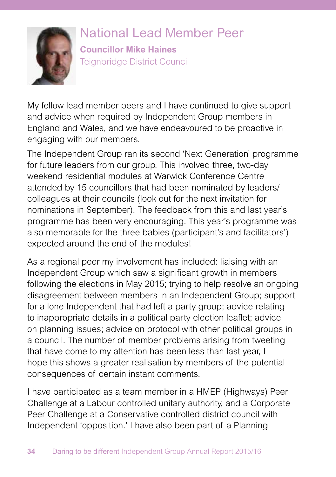

# National Lead Member Peer

**Councillor Mike Haines** Teignbridge District Council

My fellow lead member peers and I have continued to give support and advice when required by Independent Group members in England and Wales, and we have endeavoured to be proactive in engaging with our members.

The Independent Group ran its second 'Next Generation' programme for future leaders from our group. This involved three, two-day weekend residential modules at Warwick Conference Centre attended by 15 councillors that had been nominated by leaders/ colleagues at their councils (look out for the next invitation for nominations in September). The feedback from this and last year's programme has been very encouraging. This year's programme was also memorable for the three babies (participant's and facilitators') expected around the end of the modules!

As a regional peer my involvement has included: liaising with an Independent Group which saw a significant growth in members following the elections in May 2015; trying to help resolve an ongoing disagreement between members in an Independent Group; support for a lone Independent that had left a party group; advice relating to inappropriate details in a political party election leaflet; advice on planning issues; advice on protocol with other political groups in a council. The number of member problems arising from tweeting that have come to my attention has been less than last year, I hope this shows a greater realisation by members of the potential consequences of certain instant comments.

I have participated as a team member in a HMEP (Highways) Peer Challenge at a Labour controlled unitary authority, and a Corporate Peer Challenge at a Conservative controlled district council with Independent 'opposition.' I have also been part of a Planning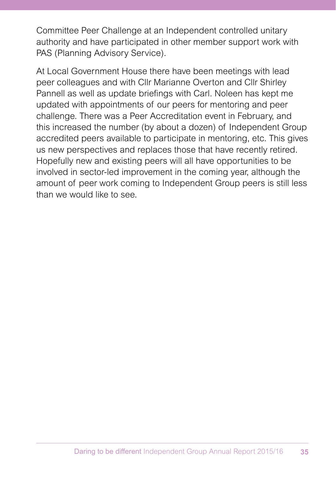Committee Peer Challenge at an Independent controlled unitary authority and have participated in other member support work with PAS (Planning Advisory Service).

At Local Government House there have been meetings with lead peer colleagues and with Cllr Marianne Overton and Cllr Shirley Pannell as well as update briefings with Carl. Noleen has kept me updated with appointments of our peers for mentoring and peer challenge. There was a Peer Accreditation event in February, and this increased the number (by about a dozen) of Independent Group accredited peers available to participate in mentoring, etc. This gives us new perspectives and replaces those that have recently retired. Hopefully new and existing peers will all have opportunities to be involved in sector-led improvement in the coming year, although the amount of peer work coming to Independent Group peers is still less than we would like to see.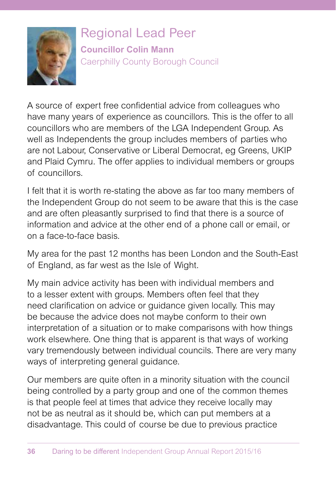

Regional Lead Peer **Councillor Colin Mann** Caerphilly County Borough Council

A source of expert free confidential advice from colleagues who have many years of experience as councillors. This is the offer to all councillors who are members of the LGA Independent Group. As well as Independents the group includes members of parties who are not Labour, Conservative or Liberal Democrat, eg Greens, UKIP and Plaid Cymru. The offer applies to individual members or groups of councillors.

I felt that it is worth re-stating the above as far too many members of the Independent Group do not seem to be aware that this is the case and are often pleasantly surprised to find that there is a source of information and advice at the other end of a phone call or email, or on a face-to-face basis.

My area for the past 12 months has been London and the South-East of England, as far west as the Isle of Wight.

My main advice activity has been with individual members and to a lesser extent with groups. Members often feel that they need clarification on advice or guidance given locally. This may be because the advice does not maybe conform to their own interpretation of a situation or to make comparisons with how things work elsewhere. One thing that is apparent is that ways of working vary tremendously between individual councils. There are very many ways of interpreting general guidance.

Our members are quite often in a minority situation with the council being controlled by a party group and one of the common themes is that people feel at times that advice they receive locally may not be as neutral as it should be, which can put members at a disadvantage. This could of course be due to previous practice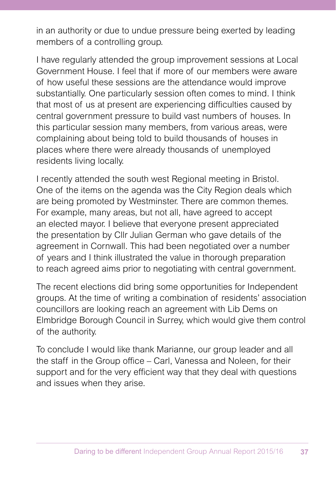in an authority or due to undue pressure being exerted by leading members of a controlling group.

I have regularly attended the group improvement sessions at Local Government House. I feel that if more of our members were aware of how useful these sessions are the attendance would improve substantially. One particularly session often comes to mind. I think that most of us at present are experiencing difficulties caused by central government pressure to build vast numbers of houses. In this particular session many members, from various areas, were complaining about being told to build thousands of houses in places where there were already thousands of unemployed residents living locally.

I recently attended the south west Regional meeting in Bristol. One of the items on the agenda was the City Region deals which are being promoted by Westminster. There are common themes. For example, many areas, but not all, have agreed to accept an elected mayor. I believe that everyone present appreciated the presentation by Cllr Julian German who gave details of the agreement in Cornwall. This had been negotiated over a number of years and I think illustrated the value in thorough preparation to reach agreed aims prior to negotiating with central government.

The recent elections did bring some opportunities for Independent groups. At the time of writing a combination of residents' association councillors are looking reach an agreement with Lib Dems on Elmbridge Borough Council in Surrey, which would give them control of the authority.

To conclude I would like thank Marianne, our group leader and all the staff in the Group office – Carl, Vanessa and Noleen, for their support and for the very efficient way that they deal with questions and issues when they arise.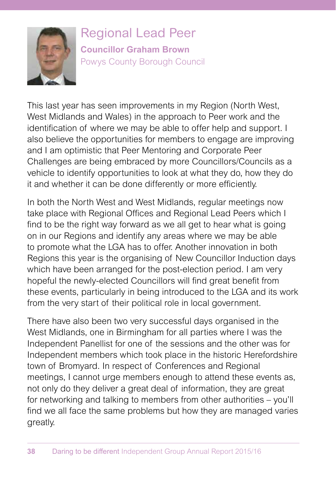

Regional Lead Peer **Councillor Graham Brown** Powys County Borough Council

This last year has seen improvements in my Region (North West, West Midlands and Wales) in the approach to Peer work and the identification of where we may be able to offer help and support. I also believe the opportunities for members to engage are improving and I am optimistic that Peer Mentoring and Corporate Peer Challenges are being embraced by more Councillors/Councils as a vehicle to identify opportunities to look at what they do, how they do it and whether it can be done differently or more efficiently.

In both the North West and West Midlands, regular meetings now take place with Regional Offices and Regional Lead Peers which I find to be the right way forward as we all get to hear what is going on in our Regions and identify any areas where we may be able to promote what the LGA has to offer. Another innovation in both Regions this year is the organising of New Councillor Induction days which have been arranged for the post-election period. I am very hopeful the newly-elected Councillors will find great benefit from these events, particularly in being introduced to the LGA and its work from the very start of their political role in local government.

There have also been two very successful days organised in the West Midlands, one in Birmingham for all parties where I was the Independent Panellist for one of the sessions and the other was for Independent members which took place in the historic Herefordshire town of Bromyard. In respect of Conferences and Regional meetings, I cannot urge members enough to attend these events as, not only do they deliver a great deal of information, they are great for networking and talking to members from other authorities – you'll find we all face the same problems but how they are managed varies greatly.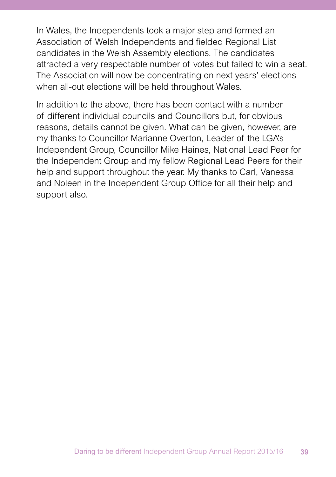In Wales, the Independents took a major step and formed an Association of Welsh Independents and fielded Regional List candidates in the Welsh Assembly elections. The candidates attracted a very respectable number of votes but failed to win a seat. The Association will now be concentrating on next years' elections when all-out elections will be held throughout Wales.

In addition to the above, there has been contact with a number of different individual councils and Councillors but, for obvious reasons, details cannot be given. What can be given, however, are my thanks to Councillor Marianne Overton, Leader of the LGA's Independent Group, Councillor Mike Haines, National Lead Peer for the Independent Group and my fellow Regional Lead Peers for their help and support throughout the year. My thanks to Carl, Vanessa and Noleen in the Independent Group Office for all their help and support also.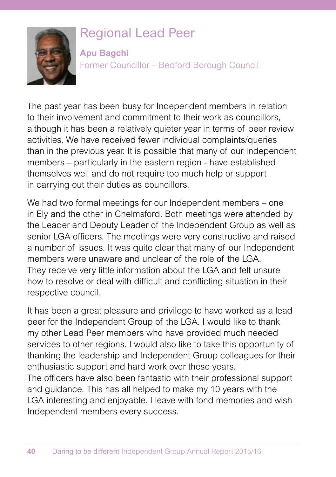

### Regional Lead Peer

**Apu Bagchi** Former Councillor – Bedford Borough Council

The past year has been busy for Independent members in relation to their involvement and commitment to their work as councillors, although it has been a relatively quieter year in terms of peer review activities. We have received fewer individual complaints/queries than in the previous year. It is possible that many of our Independent members – particularly in the eastern region - have established themselves well and do not require too much help or support in carrying out their duties as councillors.

We had two formal meetings for our Independent members – one in Ely and the other in Chelmsford. Both meetings were attended by the Leader and Deputy Leader of the Independent Group as well as senior LGA officers. The meetings were very constructive and raised a number of issues. It was quite clear that many of our Independent members were unaware and unclear of the role of the LGA. They receive very little information about the LGA and felt unsure how to resolve or deal with difficult and conflicting situation in their respective council.

It has been a great pleasure and privilege to have worked as a lead peer for the Independent Group of the LGA. I would like to thank my other Lead Peer members who have provided much needed services to other regions. I would also like to take this opportunity of thanking the leadership and Independent Group colleagues for their enthusiastic support and hard work over these years.

The officers have also been fantastic with their professional support and guidance. This has all helped to make my 10 years with the LGA interesting and enjoyable. I leave with fond memories and wish Independent members every success.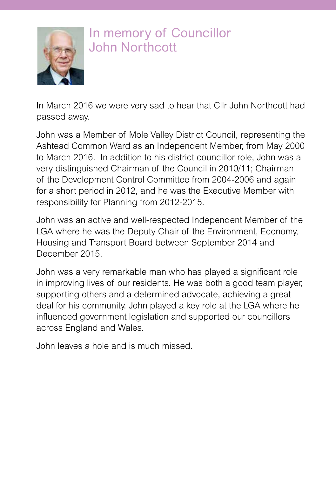

### In memory of Councillor John Northcott

In March 2016 we were very sad to hear that Cllr John Northcott had passed away.

John was a Member of Mole Valley District Council, representing the Ashtead Common Ward as an Independent Member, from May 2000 to March 2016. In addition to his district councillor role, John was a very distinguished Chairman of the Council in 2010/11; Chairman of the Development Control Committee from 2004-2006 and again for a short period in 2012, and he was the Executive Member with responsibility for Planning from 2012-2015.

John was an active and well-respected Independent Member of the LGA where he was the Deputy Chair of the Environment, Economy, Housing and Transport Board between September 2014 and December 2015.

John was a very remarkable man who has played a significant role in improving lives of our residents. He was both a good team player, supporting others and a determined advocate, achieving a great deal for his community. John played a key role at the LGA where he influenced government legislation and supported our councillors across England and Wales.

John leaves a hole and is much missed.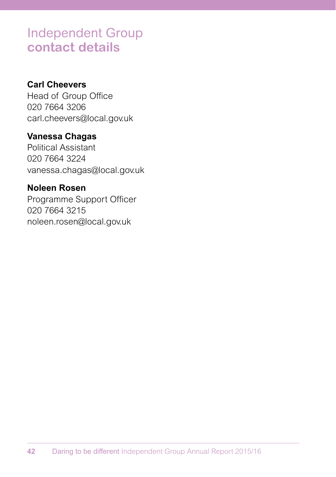### Independent Group **contact details**

#### **Carl Cheevers**

Head of Group Office 020 7664 3206 carl.cheevers@local.gov.uk

### **Vanessa Chagas**

Political Assistant 020 7664 3224 vanessa.chagas@local.gov.uk

### **Noleen Rosen**

Programme Support Officer 020 7664 3215 noleen.rosen@local.gov.uk